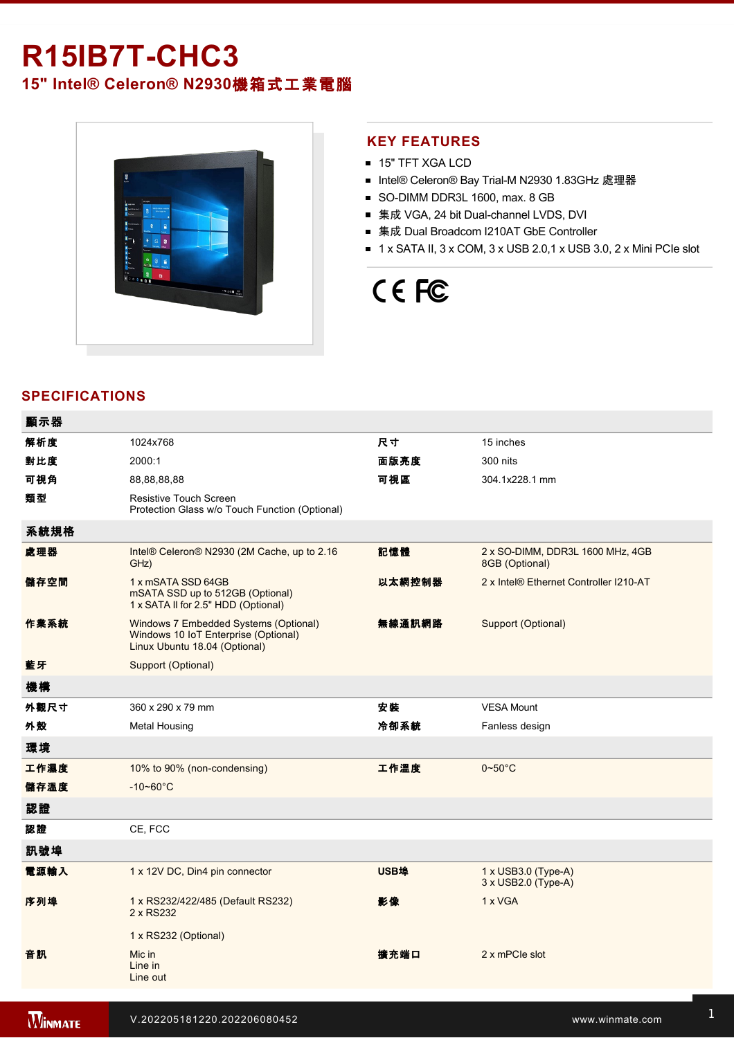# **R15IB7T-CHC3**

**15" Intel® Celeron® N2930**機箱式工業電腦



### **KEY FEATURES**

- 15" TFT XGA LCD
- Intel® Celeron® Bay Trial-M N2930 1.83GHz 處理器
- SO-DIMM DDR3L 1600, max. 8 GB
- 集成 VGA, 24 bit Dual-channel LVDS, DVI
- 集成 Dual Broadcom I210AT GbE Controller
- $\blacksquare$  1 x SATA II, 3 x COM, 3 x USB 2.0,1 x USB 3.0, 2 x Mini PCIe slot

# CE FC

## **SPECIFICATIONS**

| 顯示器  |                                                                                                                |        |                                                    |
|------|----------------------------------------------------------------------------------------------------------------|--------|----------------------------------------------------|
| 解析度  | 1024x768                                                                                                       | 尺寸     | 15 inches                                          |
| 對比度  | 2000:1                                                                                                         | 面版亮度   | 300 nits                                           |
| 可視角  | 88,88,88,88                                                                                                    | 可視區    | 304.1x228.1 mm                                     |
| 類型   | Resistive Touch Screen<br>Protection Glass w/o Touch Function (Optional)                                       |        |                                                    |
| 系統規格 |                                                                                                                |        |                                                    |
| 處理器  | Intel® Celeron® N2930 (2M Cache, up to 2.16<br>GHz)                                                            | 記憶體    | 2 x SO-DIMM, DDR3L 1600 MHz, 4GB<br>8GB (Optional) |
| 儲存空間 | 1 x mSATA SSD 64GB<br>mSATA SSD up to 512GB (Optional)<br>1 x SATA II for 2.5" HDD (Optional)                  | 以太網控制器 | 2 x Intel® Ethernet Controller I210-AT             |
| 作業系統 | Windows 7 Embedded Systems (Optional)<br>Windows 10 IoT Enterprise (Optional)<br>Linux Ubuntu 18.04 (Optional) | 無線通訊網路 | Support (Optional)                                 |
| 藍牙   | Support (Optional)                                                                                             |        |                                                    |
| 機構   |                                                                                                                |        |                                                    |
| 外觀尺寸 | 360 x 290 x 79 mm                                                                                              | 安裝     | <b>VESA Mount</b>                                  |
| 外殼   | <b>Metal Housing</b>                                                                                           | 冷卻系統   | Fanless design                                     |
| 環境   |                                                                                                                |        |                                                    |
| 工作濕度 | 10% to 90% (non-condensing)                                                                                    | 工作溫度   | $0 - 50$ °C                                        |
| 儲存溫度 | $-10 - 60^{\circ}C$                                                                                            |        |                                                    |
| 認證   |                                                                                                                |        |                                                    |
| 認證   | CE, FCC                                                                                                        |        |                                                    |
| 訊號埠  |                                                                                                                |        |                                                    |
| 電源輸入 | 1 x 12V DC, Din4 pin connector                                                                                 | USB埠   | $1 \times$ USB3.0 (Type-A)<br>3 x USB2.0 (Type-A)  |
| 序列埠  | 1 x RS232/422/485 (Default RS232)<br>2 x RS232                                                                 | 影像     | 1 x VGA                                            |
|      | 1 x RS232 (Optional)                                                                                           |        |                                                    |
| 音訊   | Mic in<br>Line in<br>Line out                                                                                  | 擴充端口   | 2 x mPCle slot                                     |
|      |                                                                                                                |        |                                                    |